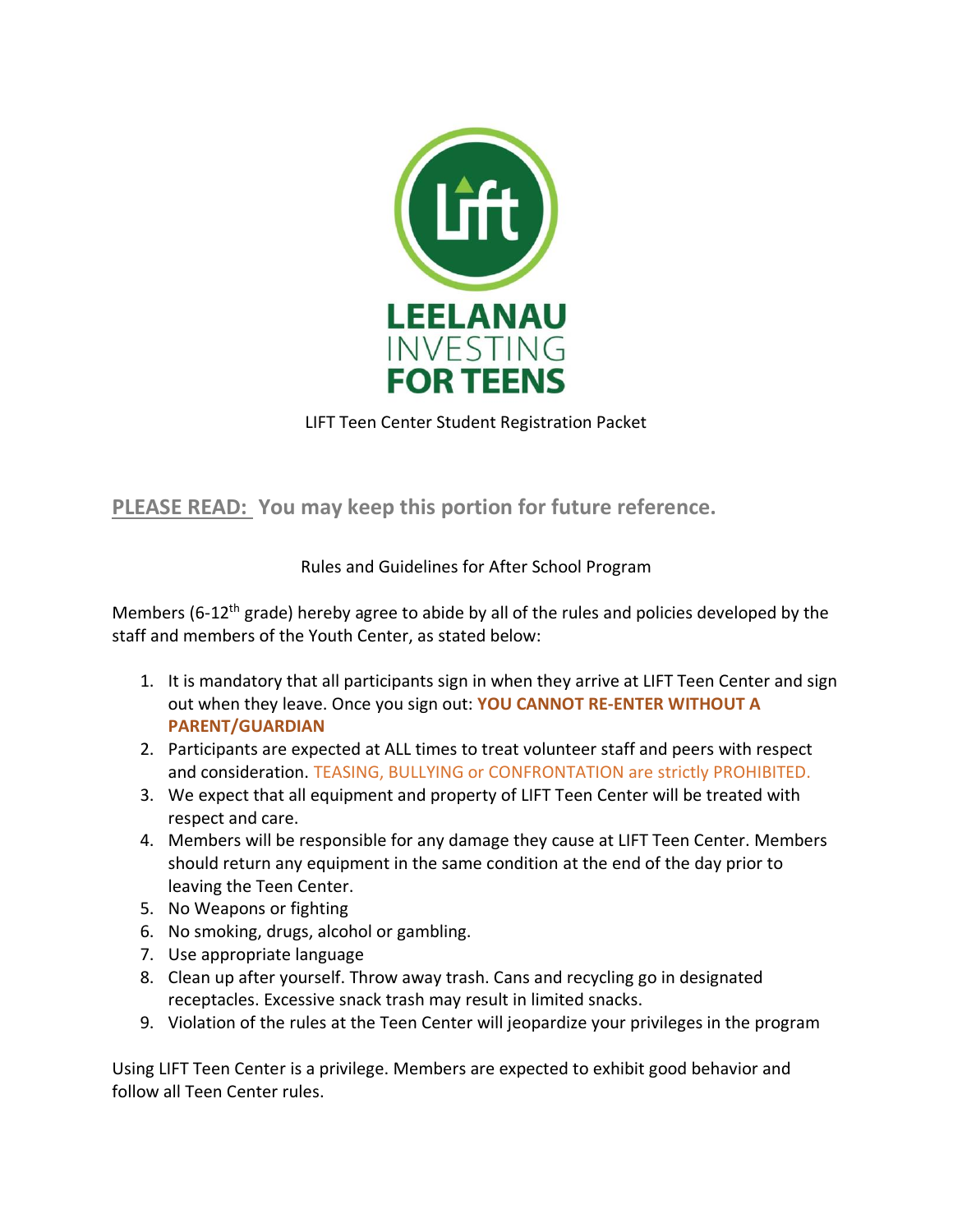

LIFT Teen Center Student Registration Packet

**PLEASE READ: You may keep this portion for future reference.** 

## Rules and Guidelines for After School Program

Members (6-12<sup>th</sup> grade) hereby agree to abide by all of the rules and policies developed by the staff and members of the Youth Center, as stated below:

- 1. It is mandatory that all participants sign in when they arrive at LIFT Teen Center and sign out when they leave. Once you sign out: **YOU CANNOT RE-ENTER WITHOUT A PARENT/GUARDIAN**
- 2. Participants are expected at ALL times to treat volunteer staff and peers with respect and consideration. TEASING, BULLYING or CONFRONTATION are strictly PROHIBITED.
- 3. We expect that all equipment and property of LIFT Teen Center will be treated with respect and care.
- 4. Members will be responsible for any damage they cause at LIFT Teen Center. Members should return any equipment in the same condition at the end of the day prior to leaving the Teen Center.
- 5. No Weapons or fighting
- 6. No smoking, drugs, alcohol or gambling.
- 7. Use appropriate language
- 8. Clean up after yourself. Throw away trash. Cans and recycling go in designated receptacles. Excessive snack trash may result in limited snacks.
- 9. Violation of the rules at the Teen Center will jeopardize your privileges in the program

Using LIFT Teen Center is a privilege. Members are expected to exhibit good behavior and follow all Teen Center rules.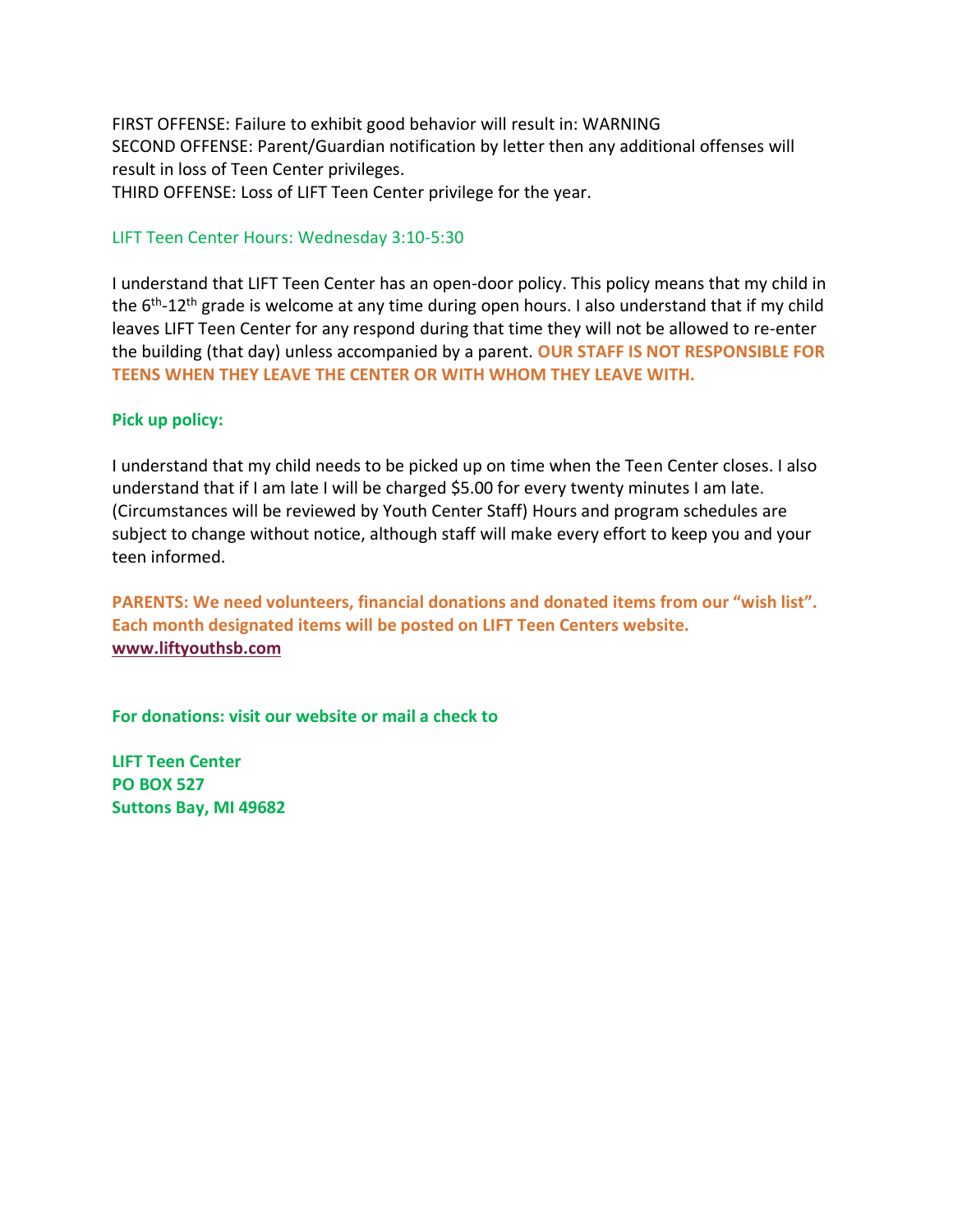FIRST OFFENSE: Failure to exhibit good behavior will result in: WARNING SECOND OFFENSE: Parent/Guardian notification by letter then any additional offenses will result in loss of Teen Center privileges. THIRD OFFENSE: Loss of LIFT Teen Center privilege for the year.

LIFT Teen Center Hours: Wednesday 3:10-5:30

I understand that LIFT Teen Center has an open-door policy. This policy means that my child in the 6<sup>th</sup>-12<sup>th</sup> grade is welcome at any time during open hours. I also understand that if my child leaves LIFT Teen Center for any respond during that time they will not be allowed to re-enter the building (that day) unless accompanied by a parent. **OUR STAFF IS NOT RESPONSIBLE FOR TEENS WHEN THEY LEAVE THE CENTER OR WITH WHOM THEY LEAVE WITH.** 

## **Pick up policy:**

I understand that my child needs to be picked up on time when the Teen Center closes. I also understand that if I am late I will be charged \$5.00 for every twenty minutes I am late. (Circumstances will be reviewed by Youth Center Staff) Hours and program schedules are subject to change without notice, although staff will make every effort to keep you and your teen informed.

**PARENTS: We need volunteers, financial donations and donated items from our "wish list". Each month designated items will be posted on LIFT Teen Centers website. [www.liftyouthsb.com](http://www.liftyouthsb.com/)**

**For donations: visit our website or mail a check to** 

**LIFT Teen Center PO BOX 527 Suttons Bay, MI 49682**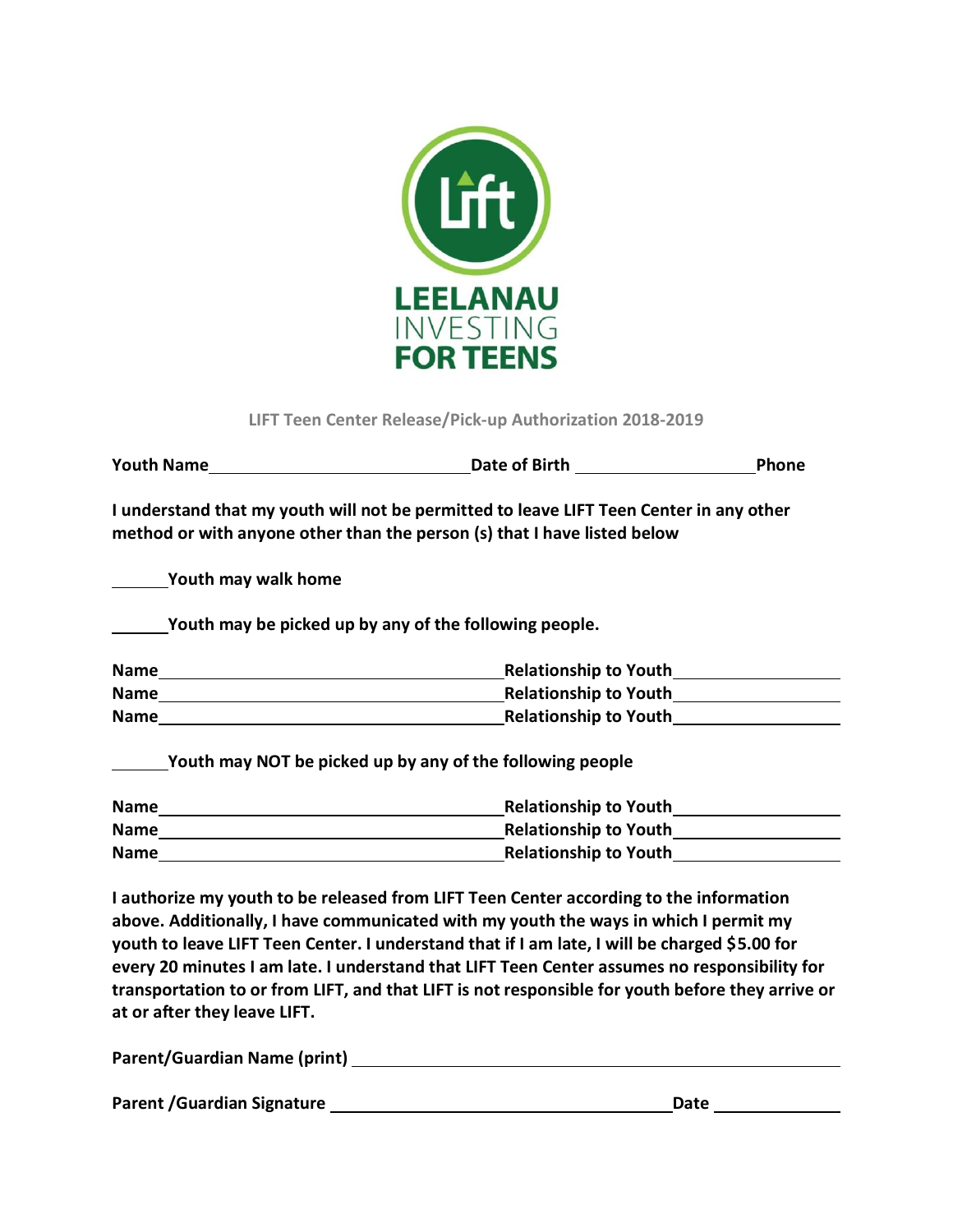

**LIFT Teen Center Release/Pick-up Authorization 2018-2019**

|                     | Date of Birth <b>Date of Birth</b>                                                                                                                                  | <b>Phone</b> |
|---------------------|---------------------------------------------------------------------------------------------------------------------------------------------------------------------|--------------|
|                     | I understand that my youth will not be permitted to leave LIFT Teen Center in any other<br>method or with anyone other than the person (s) that I have listed below |              |
| Youth may walk home |                                                                                                                                                                     |              |
|                     | Youth may be picked up by any of the following people.                                                                                                              |              |
| Name                | <b>Relationship to Youth</b>                                                                                                                                        |              |
| <b>Name</b>         | <b>Relationship to Youth</b>                                                                                                                                        |              |
| <b>Name</b>         | <b>Relationship to Youth</b>                                                                                                                                        |              |

**Youth may NOT be picked up by any of the following people**

| <b>Name</b> | <b>Relationship to Youth</b> |
|-------------|------------------------------|
| <b>Name</b> | <b>Relationship to Youth</b> |
| <b>Name</b> | <b>Relationship to Youth</b> |

**I authorize my youth to be released from LIFT Teen Center according to the information above. Additionally, I have communicated with my youth the ways in which I permit my youth to leave LIFT Teen Center. I understand that if I am late, I will be charged \$5.00 for every 20 minutes I am late. I understand that LIFT Teen Center assumes no responsibility for transportation to or from LIFT, and that LIFT is not responsible for youth before they arrive or at or after they leave LIFT.** 

| Parent/Guardian Name (print) |  |
|------------------------------|--|
|                              |  |

Parent /Guardian Signature **Date Access 1986** Date **Date Date Date Date Date**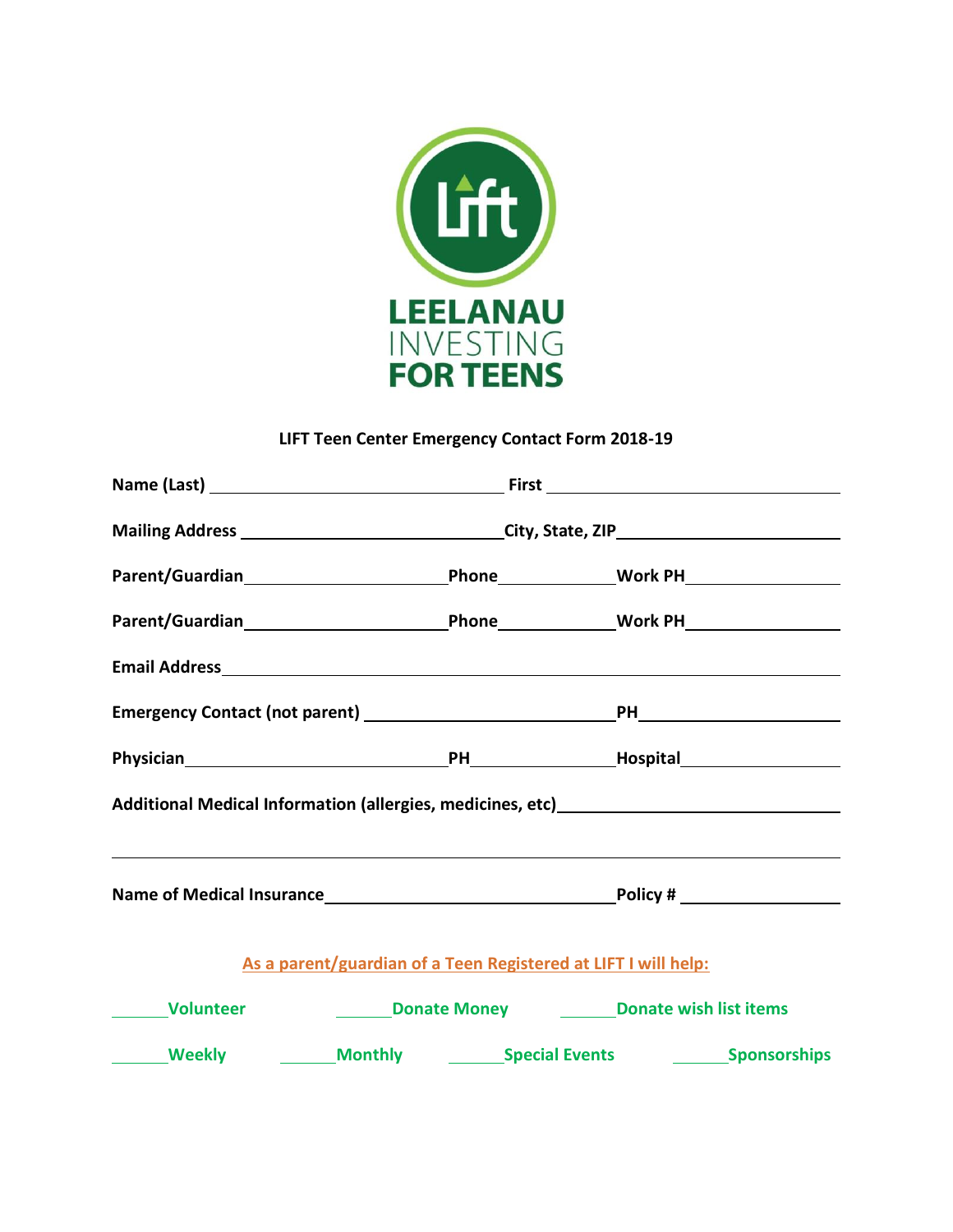

## **LIFT Teen Center Emergency Contact Form 2018-19**

|                                            | Mailing Address __________________________________City, State, ZIP__________________________________ |                                                                                  |
|--------------------------------------------|------------------------------------------------------------------------------------------------------|----------------------------------------------------------------------------------|
|                                            |                                                                                                      |                                                                                  |
|                                            |                                                                                                      |                                                                                  |
|                                            |                                                                                                      |                                                                                  |
|                                            |                                                                                                      |                                                                                  |
|                                            |                                                                                                      |                                                                                  |
|                                            |                                                                                                      | Additional Medical Information (allergies, medicines, etc) _____________________ |
|                                            |                                                                                                      |                                                                                  |
|                                            |                                                                                                      |                                                                                  |
|                                            | As a parent/guardian of a Teen Registered at LIFT I will help:                                       |                                                                                  |
| <b>Nolunteer No. 1997</b>                  |                                                                                                      | <b>Example 2 Donate Money CONDITY Donate wish list items</b>                     |
| Meekly Monthly Special Events Sponsorships |                                                                                                      |                                                                                  |